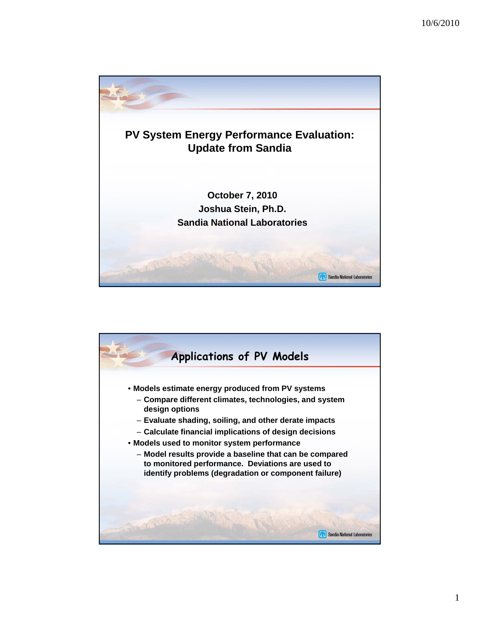

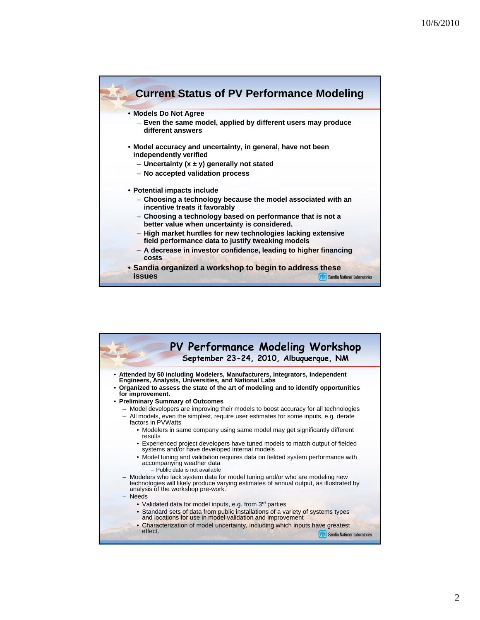

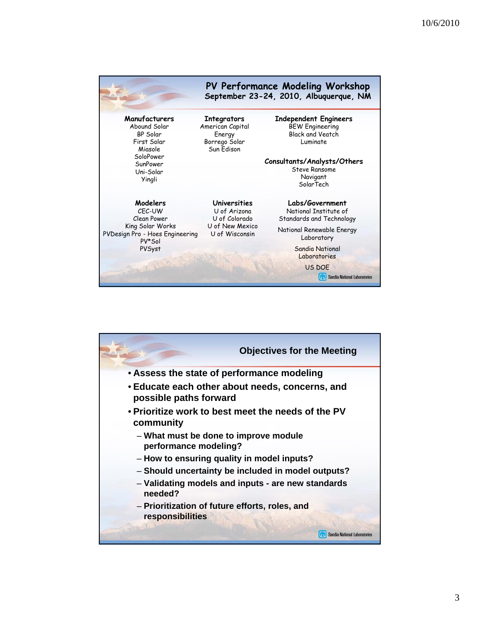| PV Performance Modeling Workshop<br>September 23-24, 2010, Albuquerque, NM |                                                                                           |                                                                                               |
|----------------------------------------------------------------------------|-------------------------------------------------------------------------------------------|-----------------------------------------------------------------------------------------------|
| Manufacturers<br>Abound Solar<br>BP Solar<br>First Solar<br>Miasole        | <b>Integrators</b><br>American Capital<br>Energy<br>Borrego Solar<br>Sun Edison           | <b>Independent Engineers</b><br><b>BEW Engineering</b><br><b>Black and Veatch</b><br>Luminate |
| SoloPower<br>SunPower<br>Uni-Solar<br>Yingli                               |                                                                                           | Consultants/Analysts/Others<br><b>Steve Ransome</b><br>Navigant<br>SolarTech                  |
| Modelers<br>CEC-UW<br>Clean Power                                          | <b>Universities</b><br>U of Arizona<br>U of Colorado<br>U of New Mexico<br>U of Wisconsin | Labs/Government<br>National Institute of<br>Standards and Technology                          |
| King Solar Works<br>PVDesign Pro - Hoes Engineering<br>PV*Sol              |                                                                                           | National Renewable Energy<br>Laboratory                                                       |
| PVSyst                                                                     |                                                                                           | <b>Sandia National</b><br>Laboratories<br><b>US DOE</b><br>Sandia National Laboratories       |